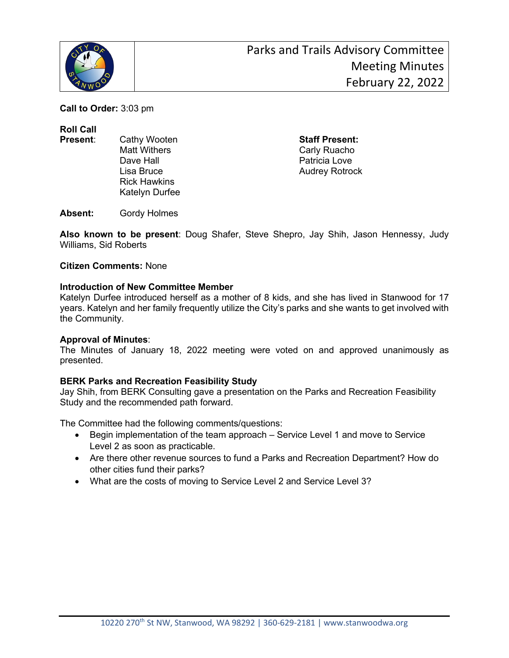

**Call to Order:** 3:03 pm

**Roll Call**

- 
- Dave Hall **Dave Hall** Patricia Love Rick Hawkins Katelyn Durfee

**Present**: Cathy Wooten **Staff Present:** Carly Ruacho Lisa Bruce **Audrey Rotrock** 

**Absent:** Gordy Holmes

**Also known to be present**: Doug Shafer, Steve Shepro, Jay Shih, Jason Hennessy, Judy Williams, Sid Roberts

#### **Citizen Comments:** None

### **Introduction of New Committee Member**

Katelyn Durfee introduced herself as a mother of 8 kids, and she has lived in Stanwood for 17 years. Katelyn and her family frequently utilize the City's parks and she wants to get involved with the Community.

### **Approval of Minutes**:

The Minutes of January 18, 2022 meeting were voted on and approved unanimously as presented.

### **BERK Parks and Recreation Feasibility Study**

Jay Shih, from BERK Consulting gave a presentation on the Parks and Recreation Feasibility Study and the recommended path forward.

The Committee had the following comments/questions:

- Begin implementation of the team approach Service Level 1 and move to Service Level 2 as soon as practicable.
- Are there other revenue sources to fund a Parks and Recreation Department? How do other cities fund their parks?
- What are the costs of moving to Service Level 2 and Service Level 3?